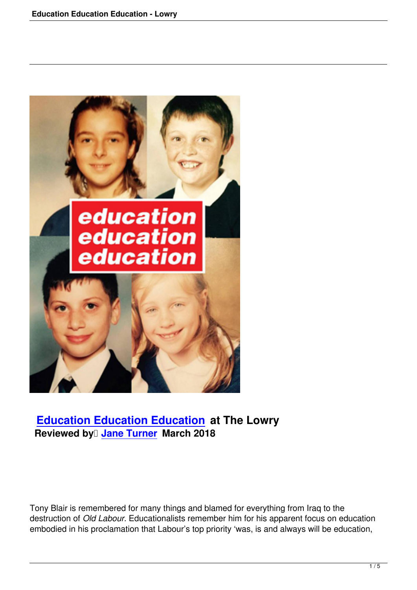

## **Education Education Education at The Lowry Reviewed by Jane Turner March 2018**

Tony Blair is remembered for many things and blamed for everything from Iraq to the destruction of *Old Labour*. Educationalists remember him for his apparent focus on education embodied in his proclamation that Labour's top priority 'was, is and always will be education,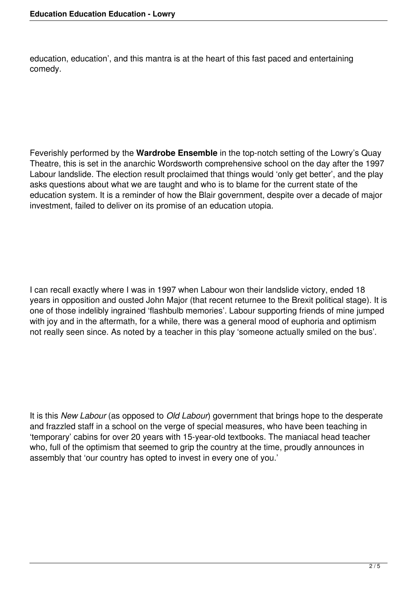education, education', and this mantra is at the heart of this fast paced and entertaining comedy.

Feverishly performed by the **Wardrobe Ensemble** in the top-notch setting of the Lowry's Quay Theatre, this is set in the anarchic Wordsworth comprehensive school on the day after the 1997 Labour landslide. The election result proclaimed that things would 'only get better', and the play asks questions about what we are taught and who is to blame for the current state of the education system. It is a reminder of how the Blair government, despite over a decade of major investment, failed to deliver on its promise of an education utopia.

I can recall exactly where I was in 1997 when Labour won their landslide victory, ended 18 years in opposition and ousted John Major (that recent returnee to the Brexit political stage). It is one of those indelibly ingrained 'flashbulb memories'. Labour supporting friends of mine jumped with joy and in the aftermath, for a while, there was a general mood of euphoria and optimism not really seen since. As noted by a teacher in this play 'someone actually smiled on the bus'.

It is this *New Labour* (as opposed to *Old Labour*) government that brings hope to the desperate and frazzled staff in a school on the verge of special measures, who have been teaching in 'temporary' cabins for over 20 years with 15-year-old textbooks. The maniacal head teacher who, full of the optimism that seemed to grip the country at the time, proudly announces in assembly that 'our country has opted to invest in every one of you.'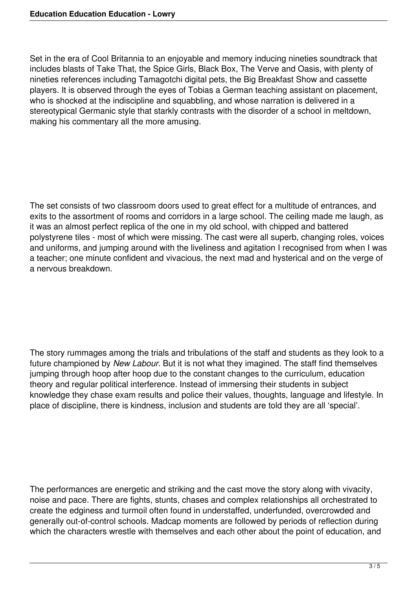Set in the era of Cool Britannia to an enjoyable and memory inducing nineties soundtrack that includes blasts of Take That, the Spice Girls, Black Box, The Verve and Oasis, with plenty of nineties references including Tamagotchi digital pets, the Big Breakfast Show and cassette players. It is observed through the eyes of Tobias a German teaching assistant on placement, who is shocked at the indiscipline and squabbling, and whose narration is delivered in a stereotypical Germanic style that starkly contrasts with the disorder of a school in meltdown, making his commentary all the more amusing.

The set consists of two classroom doors used to great effect for a multitude of entrances, and exits to the assortment of rooms and corridors in a large school. The ceiling made me laugh, as it was an almost perfect replica of the one in my old school, with chipped and battered polystyrene tiles - most of which were missing. The cast were all superb, changing roles, voices and uniforms, and jumping around with the liveliness and agitation I recognised from when I was a teacher; one minute confident and vivacious, the next mad and hysterical and on the verge of a nervous breakdown.

The story rummages among the trials and tribulations of the staff and students as they look to a future championed by *New Labour*. But it is not what they imagined. The staff find themselves jumping through hoop after hoop due to the constant changes to the curriculum, education theory and regular political interference. Instead of immersing their students in subject knowledge they chase exam results and police their values, thoughts, language and lifestyle. In place of discipline, there is kindness, inclusion and students are told they are all 'special'.

The performances are energetic and striking and the cast move the story along with vivacity, noise and pace. There are fights, stunts, chases and complex relationships all orchestrated to create the edginess and turmoil often found in understaffed, underfunded, overcrowded and generally out-of-control schools. Madcap moments are followed by periods of reflection during which the characters wrestle with themselves and each other about the point of education, and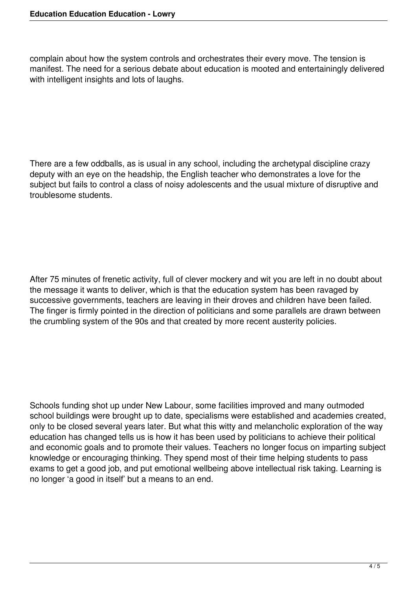complain about how the system controls and orchestrates their every move. The tension is manifest. The need for a serious debate about education is mooted and entertainingly delivered with intelligent insights and lots of laughs.

There are a few oddballs, as is usual in any school, including the archetypal discipline crazy deputy with an eye on the headship, the English teacher who demonstrates a love for the subject but fails to control a class of noisy adolescents and the usual mixture of disruptive and troublesome students.

After 75 minutes of frenetic activity, full of clever mockery and wit you are left in no doubt about the message it wants to deliver, which is that the education system has been ravaged by successive governments, teachers are leaving in their droves and children have been failed. The finger is firmly pointed in the direction of politicians and some parallels are drawn between the crumbling system of the 90s and that created by more recent austerity policies.

Schools funding shot up under New Labour, some facilities improved and many outmoded school buildings were brought up to date, specialisms were established and academies created, only to be closed several years later. But what this witty and melancholic exploration of the way education has changed tells us is how it has been used by politicians to achieve their political and economic goals and to promote their values. Teachers no longer focus on imparting subject knowledge or encouraging thinking. They spend most of their time helping students to pass exams to get a good job, and put emotional wellbeing above intellectual risk taking. Learning is no longer 'a good in itself' but a means to an end.